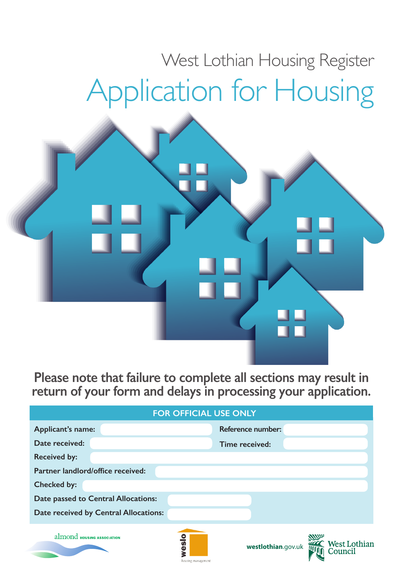# Application for Housing West Lothian Housing Register

**Please note that failure to complete all sections may result in return of your form and delays in processing your application.**

22

|                                   |                                              | <b>FOR OFFICIAL USE ONLY</b> |                    |  |                                |  |
|-----------------------------------|----------------------------------------------|------------------------------|--------------------|--|--------------------------------|--|
| <b>Applicant's name:</b>          |                                              |                              | Reference number:  |  |                                |  |
| Date received:                    |                                              |                              | Time received:     |  |                                |  |
| <b>Received by:</b>               |                                              |                              |                    |  |                                |  |
| Partner landlord/office received: |                                              |                              |                    |  |                                |  |
| <b>Checked by:</b>                |                                              |                              |                    |  |                                |  |
|                                   | <b>Date passed to Central Allocations:</b>   |                              |                    |  |                                |  |
|                                   | <b>Date received by Central Allocations:</b> |                              |                    |  |                                |  |
| $\dim$ $\dim$ Housing association |                                              |                              | westlothian.gov.uk |  | <b>West Lothian</b><br>Council |  |

housing management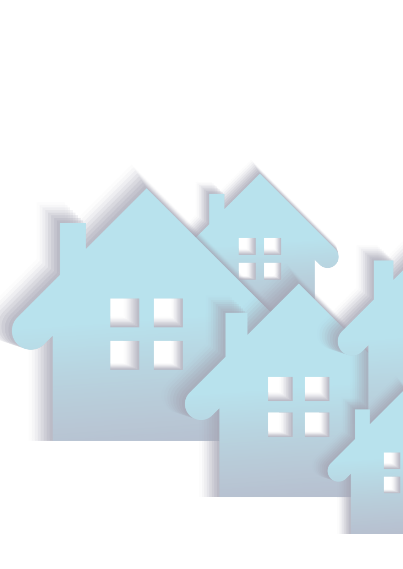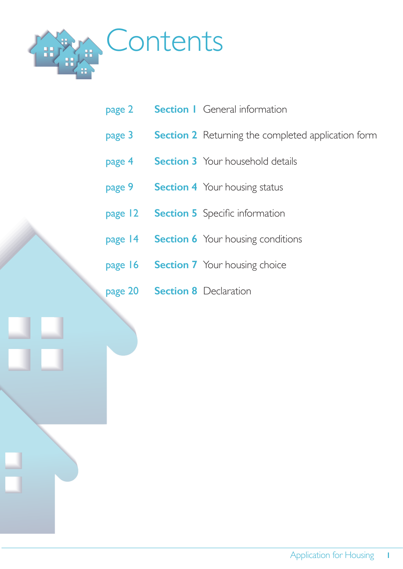

- page 2 **Section 1** General information
- page 3 **Section 2** Returning the completed application form
- page 4 **Section 3** Your household details
- page 9 **Section 4** Your housing status
- page 12 **Section 5** Specific information
- page 14 **Section 6** Your housing conditions
- page 16 **Section 7** Your housing choice
	-
- page 20 **Section 8** Declaration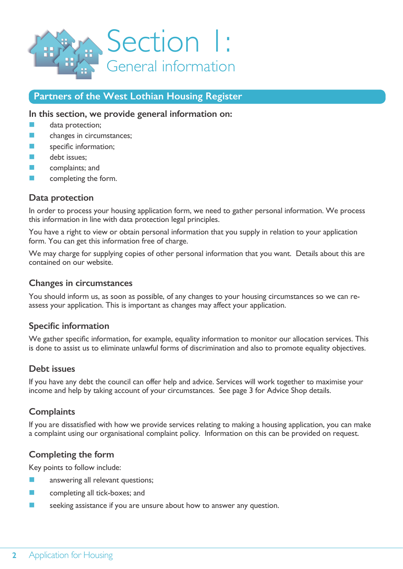

# **Partners of the West Lothian Housing Register**

#### **In this section, we provide general information on:**

- data protection;
- changes in circumstances;
- specific information:
- debt issues:
- complaints; and
- completing the form.

# **Data protection**

In order to process your housing application form, we need to gather personal information. We process this information in line with data protection legal principles.

You have a right to view or obtain personal information that you supply in relation to your application form. You can get this information free of charge.

We may charge for supplying copies of other personal information that you want. Details about this are contained on our website.

#### **Changes in circumstances**

You should inform us, as soon as possible, of any changes to your housing circumstances so we can reassess your application. This is important as changes may affect your application.

# **Specific information**

We gather specific information, for example, equality information to monitor our allocation services. This is done to assist us to eliminate unlawful forms of discrimination and also to promote equality objectives.

#### **Debt issues**

If you have any debt the council can offer help and advice. Services will work together to maximise your income and help by taking account of your circumstances. See page 3 for Advice Shop details.

# **Complaints**

If you are dissatisfied with how we provide services relating to making a housing application, you can make a complaint using our organisational complaint policy. Information on this can be provided on request.

# **Completing the form**

Key points to follow include:

- answering all relevant questions;
- completing all tick-boxes; and
- seeking assistance if you are unsure about how to answer any question.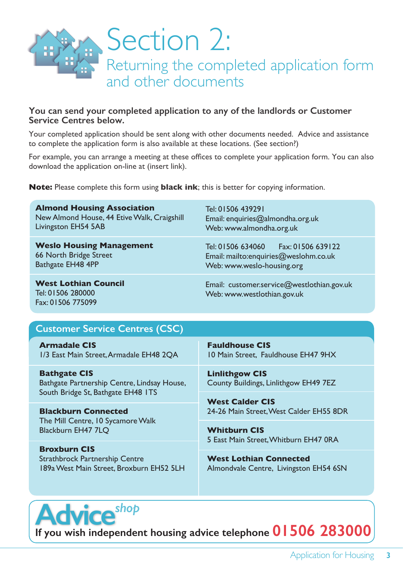

# **You can send your completed application to any of the landlords or Customer Service Centres below.**

Your completed application should be sent along with other documents needed. Advice and assistance to complete the application form is also available at these locations. (See section?)

For example, you can arrange a meeting at these offices to complete your application form. You can also download the application on-line at (insert link).

**Note:** Please complete this form using **black ink**; this is better for copying information.

| <b>Almond Housing Association</b><br>New Almond House, 44 Etive Walk, Craigshill<br>Livingston EH54 5AB  | Tel: 01506 439291<br>Email: enquiries@almondha.org.uk<br>Web: www.almondha.org.uk                              |
|----------------------------------------------------------------------------------------------------------|----------------------------------------------------------------------------------------------------------------|
| <b>Weslo Housing Management</b><br>66 North Bridge Street<br>Bathgate EH48 4PP                           | Fax: 01506 639122<br>Tel: 01506 634060<br>Email: mailto: enquiries@weslohm.co.uk<br>Web: www.weslo-housing.org |
| <b>West Lothian Council</b><br>Tel: 01506 280000<br>Fax: 01506 775099                                    | Email: customer.service@westlothian.gov.uk<br>Web: www.westlothian.gov.uk                                      |
| <b>Customer Service Centres (CSC)</b>                                                                    |                                                                                                                |
| <b>Armadale CIS</b><br>1/3 East Main Street, Armadale EH48 2QA                                           | <b>Fauldhouse CIS</b><br>10 Main Street, Fauldhouse EH47 9HX                                                   |
| <b>Bathgate CIS</b><br>Bathgate Partnership Centre, Lindsay House,<br>South Bridge St, Bathgate EH48 ITS | <b>Linlithgow CIS</b><br>County Buildings, Linlithgow EH49 7EZ                                                 |
|                                                                                                          |                                                                                                                |
| <b>Blackburn Connected</b>                                                                               | <b>West Calder CIS</b><br>24-26 Main Street, West Calder EH55 8DR                                              |
| The Mill Centre, 10 Sycamore Walk<br>Blackburn EH47 7LQ                                                  | <b>Whitburn CIS</b><br>5 East Main Street, Whitburn EH47 ORA                                                   |

**Advice***shop* **If you wish independent housing advice telephone 01506 283000**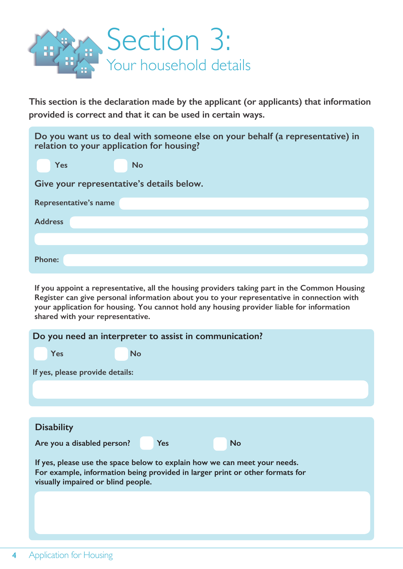

**This section is the declaration made by the applicant (or applicants) that information provided is correct and that it can be used in certain ways.** 

| Do you want us to deal with someone else on your behalf (a representative) in<br>relation to your application for housing? |  |  |  |  |  |  |
|----------------------------------------------------------------------------------------------------------------------------|--|--|--|--|--|--|
| Yes<br><b>No</b>                                                                                                           |  |  |  |  |  |  |
| Give your representative's details below.                                                                                  |  |  |  |  |  |  |
| Representative's name                                                                                                      |  |  |  |  |  |  |
| <b>Address</b>                                                                                                             |  |  |  |  |  |  |
|                                                                                                                            |  |  |  |  |  |  |
| <b>Phone:</b>                                                                                                              |  |  |  |  |  |  |
|                                                                                                                            |  |  |  |  |  |  |

**If you appoint a representative, all the housing providers taking part in the Common Housing Register can give personal information about you to your representative in connection with your application for housing. You cannot hold any housing provider liable for information shared with your representative.**

| Do you need an interpreter to assist in communication?                                                                                                                                          |
|-------------------------------------------------------------------------------------------------------------------------------------------------------------------------------------------------|
| Yes<br><b>No</b>                                                                                                                                                                                |
| If yes, please provide details:                                                                                                                                                                 |
|                                                                                                                                                                                                 |
|                                                                                                                                                                                                 |
| <b>Disability</b>                                                                                                                                                                               |
| <b>Yes</b><br><b>No</b><br>Are you a disabled person?                                                                                                                                           |
| If yes, please use the space below to explain how we can meet your needs.<br>For example, information being provided in larger print or other formats for<br>visually impaired or blind people. |
|                                                                                                                                                                                                 |
|                                                                                                                                                                                                 |
|                                                                                                                                                                                                 |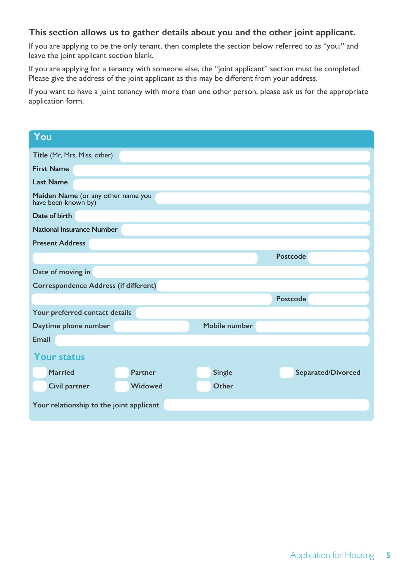# **This section allows us to gather details about you and the other joint applicant.**

If you are applying to be the only tenant, then complete the section below referred to as "you;" and leave the joint applicant section blank.

If you are applying for a tenancy with someone else, the "joint applicant" section must be completed. Please give the address of the joint applicant as this may be different from your address.

If you want to have a joint tenancy with more than one other person, please ask us for the appropriate application form.

| You                                                       |                |               |                           |
|-----------------------------------------------------------|----------------|---------------|---------------------------|
| Title (Mr, Mrs, Miss, other)                              |                |               |                           |
| <b>First Name</b>                                         |                |               |                           |
| <b>Last Name</b>                                          |                |               |                           |
| Maiden Name (or any other name you<br>have been known by) |                |               |                           |
| Date of birth                                             |                |               |                           |
| <b>National Insurance Number</b>                          |                |               |                           |
| <b>Present Address</b>                                    |                |               |                           |
|                                                           |                |               | <b>Postcode</b>           |
| Date of moving in                                         |                |               |                           |
| <b>Correspondence Address (if different)</b>              |                |               |                           |
|                                                           |                |               | <b>Postcode</b>           |
| Your preferred contact details                            |                |               |                           |
| Daytime phone number                                      |                | Mobile number |                           |
| <b>Email</b>                                              |                |               |                           |
| <b>Your status</b>                                        |                |               |                           |
| <b>Married</b>                                            | <b>Partner</b> | <b>Single</b> | <b>Separated/Divorced</b> |
| <b>Civil partner</b>                                      | Widowed        | <b>Other</b>  |                           |
| Your relationship to the joint applicant                  |                |               |                           |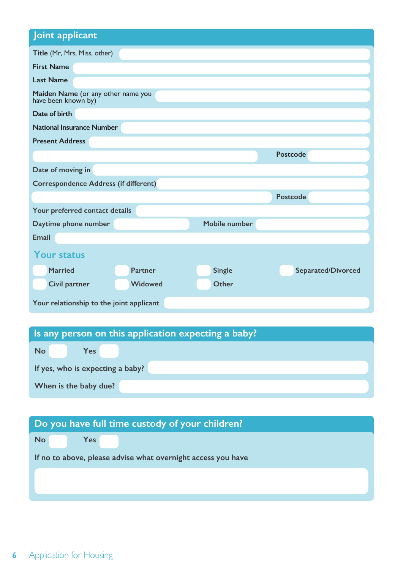| Joint applicant                                           |                |               |                           |
|-----------------------------------------------------------|----------------|---------------|---------------------------|
| Title (Mr, Mrs, Miss, other)                              |                |               |                           |
| <b>First Name</b>                                         |                |               |                           |
| <b>Last Name</b>                                          |                |               |                           |
| Maiden Name (or any other name you<br>have been known by) |                |               |                           |
| Date of birth                                             |                |               |                           |
| <b>National Insurance Number</b>                          |                |               |                           |
| <b>Present Address</b>                                    |                |               |                           |
|                                                           |                |               | <b>Postcode</b>           |
| Date of moving in                                         |                |               |                           |
| <b>Correspondence Address (if different)</b>              |                |               |                           |
|                                                           |                |               | <b>Postcode</b>           |
| Your preferred contact details                            |                |               |                           |
| Daytime phone number                                      |                | Mobile number |                           |
| <b>Email</b>                                              |                |               |                           |
| <b>Your status</b>                                        |                |               |                           |
| <b>Married</b>                                            | <b>Partner</b> | <b>Single</b> | <b>Separated/Divorced</b> |
| <b>Civil partner</b>                                      | Widowed        | <b>Other</b>  |                           |
| Your relationship to the joint applicant                  |                |               |                           |

# **Is any person on this application expecting a baby?**

| <b>No</b><br><b>Yes</b>          |  |
|----------------------------------|--|
| If yes, who is expecting a baby? |  |
| When is the baby due?            |  |

# **Do you have full time custody of your children?**

**No Yes** 

**If no to above, please advise what overnight access you have**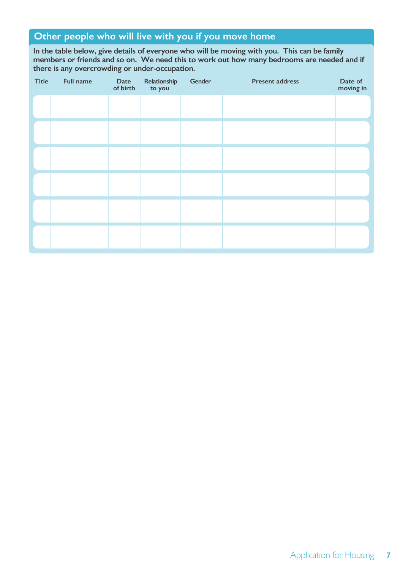# **Other people who will live with you if you move home**

**In the table below, give details of everyone who will be moving with you. This can be family members or friends and so on. We need this to work out how many bedrooms are needed and if there is any overcrowding or under-occupation.**

| <b>Title</b> | <b>Full name</b> | Date<br>of birth | Relationship<br>to you | Gender | <b>Present address</b> | Date of<br>moving in |
|--------------|------------------|------------------|------------------------|--------|------------------------|----------------------|
|              |                  |                  |                        |        |                        |                      |
|              |                  |                  |                        |        |                        |                      |
|              |                  |                  |                        |        |                        |                      |
|              |                  |                  |                        |        |                        |                      |
|              |                  |                  |                        |        |                        |                      |
|              |                  |                  |                        |        |                        |                      |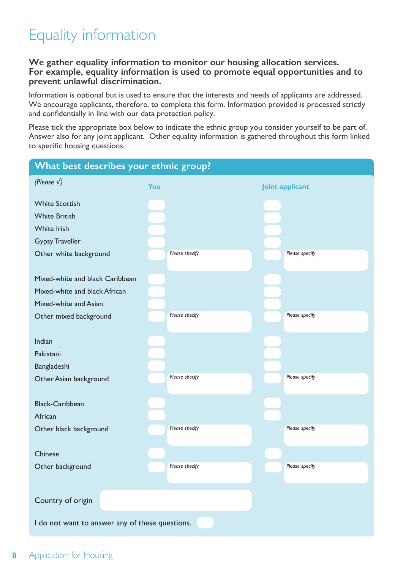# Equality information

### **We gather equality information to monitor our housing allocation services. For example, equality information is used to promote equal opportunities and to prevent unlawful discrimination.**

Information is optional but is used to ensure that the interests and needs of applicants are addressed. We encourage applicants, therefore, to complete this form. Information provided is processed strictly and confidentially in line with our data protection policy.

Please tick the appropriate box below to indicate the ethnic group you consider yourself to be part of. Answer also for any joint applicant. Other equality information is gathered throughout this form linked to specific housing questions.

| What best describes your ethnic group?          |                |                 |  |  |  |  |
|-------------------------------------------------|----------------|-----------------|--|--|--|--|
| (Please $\sqrt{}$ )                             | You            | Joint applicant |  |  |  |  |
| <b>White Scottish</b>                           |                |                 |  |  |  |  |
| <b>White British</b>                            |                |                 |  |  |  |  |
| <b>White Irish</b>                              |                |                 |  |  |  |  |
| <b>Gypsy Traveller</b>                          |                |                 |  |  |  |  |
| Other white background                          | Please specify | Please specify  |  |  |  |  |
|                                                 |                |                 |  |  |  |  |
| Mixed-white and black Caribbean                 |                |                 |  |  |  |  |
| Mixed-white and black African                   |                |                 |  |  |  |  |
| Mixed-white and Asian                           |                |                 |  |  |  |  |
| Other mixed background                          | Please specify | Please specify  |  |  |  |  |
|                                                 |                |                 |  |  |  |  |
| Indian                                          |                |                 |  |  |  |  |
| Pakistani                                       |                |                 |  |  |  |  |
| Bangladeshi                                     |                |                 |  |  |  |  |
| Other Asian background                          | Please specify | Please specify  |  |  |  |  |
|                                                 |                |                 |  |  |  |  |
| <b>Black-Caribbean</b>                          |                |                 |  |  |  |  |
| African                                         |                |                 |  |  |  |  |
| Other black background                          | Please specify | Please specify  |  |  |  |  |
|                                                 |                |                 |  |  |  |  |
| Chinese                                         |                |                 |  |  |  |  |
| Other background                                | Please specify | Please specify  |  |  |  |  |
|                                                 |                |                 |  |  |  |  |
| Country of origin                               |                |                 |  |  |  |  |
| I do not want to answer any of these questions. |                |                 |  |  |  |  |
|                                                 |                |                 |  |  |  |  |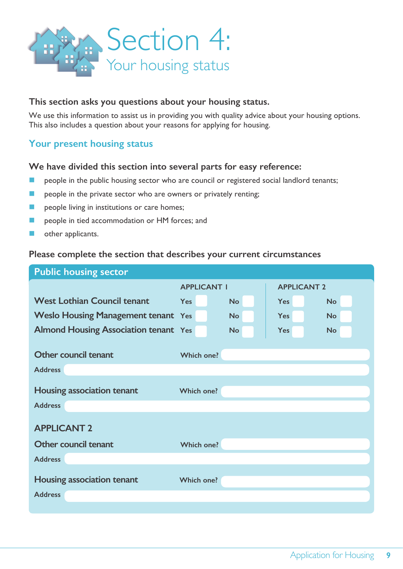

# **This section asks you questions about your housing status.**

We use this information to assist us in providing you with quality advice about your housing options. This also includes a question about your reasons for applying for housing.

# **Your present housing status**

### **We have divided this section into several parts for easy reference:**

- n people in the public housing sector who are council or registered social landlord tenants;
- $\blacksquare$  people in the private sector who are owners or privately renting;
- $\blacksquare$  people living in institutions or care homes;
- people in tied accommodation or HM forces; and
- other applicants.

### **Please complete the section that describes your current circumstances**

| <b>Public housing sector</b>                 |                    |           |                    |           |  |
|----------------------------------------------|--------------------|-----------|--------------------|-----------|--|
|                                              | <b>APPLICANT I</b> |           | <b>APPLICANT 2</b> |           |  |
| <b>West Lothian Council tenant</b>           | <b>Yes</b>         | <b>No</b> | Yes                | <b>No</b> |  |
| <b>Weslo Housing Management tenant Yes</b>   |                    | <b>No</b> | <b>Yes</b>         | <b>No</b> |  |
| <b>Almond Housing Association tenant Yes</b> |                    | <b>No</b> | Yes                | <b>No</b> |  |
|                                              |                    |           |                    |           |  |
| <b>Other council tenant</b>                  | Which one?         |           |                    |           |  |
| <b>Address</b>                               |                    |           |                    |           |  |
| <b>Housing association tenant</b>            | <b>Which one?</b>  |           |                    |           |  |
| <b>Address</b>                               |                    |           |                    |           |  |
| <b>APPLICANT 2</b>                           |                    |           |                    |           |  |
| <b>Other council tenant</b>                  | <b>Which one?</b>  |           |                    |           |  |
| <b>Address</b>                               |                    |           |                    |           |  |
| <b>Housing association tenant</b>            | <b>Which one?</b>  |           |                    |           |  |
| <b>Address</b>                               |                    |           |                    |           |  |
|                                              |                    |           |                    |           |  |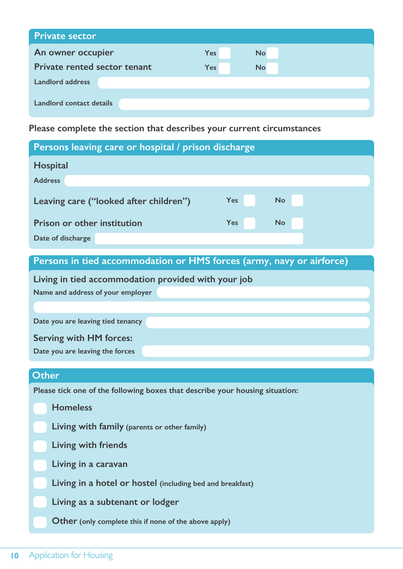| <b>Private sector</b>               |            |           |
|-------------------------------------|------------|-----------|
| An owner occupier                   | Yes        | <b>No</b> |
| <b>Private rented sector tenant</b> | <b>Yes</b> | <b>No</b> |
| <b>Landlord address</b>             |            |           |
| <b>Landlord contact details</b>     |            |           |

**Please complete the section that describes your current circumstances**

| Persons leaving care or hospital / prison discharge |     |           |  |  |  |  |
|-----------------------------------------------------|-----|-----------|--|--|--|--|
| Hospital                                            |     |           |  |  |  |  |
| <b>Address</b>                                      |     |           |  |  |  |  |
| Leaving care ("looked after children")              | Yes | No        |  |  |  |  |
| <b>Prison or other institution</b>                  | Yes | <b>No</b> |  |  |  |  |
| Date of discharge                                   |     |           |  |  |  |  |

# **Persons in tied accommodation or HMS forces (army, navy or airforce)**

**Living in tied accommodation provided with your job Name and address of your employer Date you are leaving tied tenancy Serving with HM forces: Date you are leaving the forces** 

# **Other**

**Please tick one of the following boxes that describe your housing situation:**

**Homeless**

**Living with family (parents or other family)** 

**Living with friends**

**Living in a caravan**

**Living in a hotel or hostel (including bed and breakfast)**

**Living as a subtenant or lodger**

**Other (only complete this if none of the above apply)**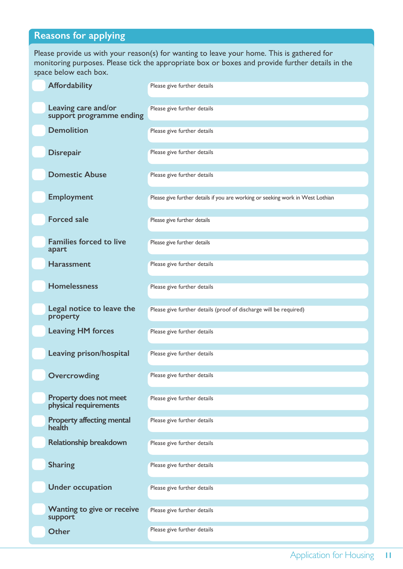# **Reasons for applying**

Please provide us with your reason(s) for wanting to leave your home. This is gathered for monitoring purposes. Please tick the appropriate box or boxes and provide further details in the space below each box.

| <b>Affordability</b>                                   | Please give further details                                                    |
|--------------------------------------------------------|--------------------------------------------------------------------------------|
| Leaving care and/or<br>support programme ending        | Please give further details                                                    |
| <b>Demolition</b>                                      | Please give further details                                                    |
| <b>Disrepair</b>                                       | Please give further details                                                    |
| <b>Domestic Abuse</b>                                  | Please give further details                                                    |
| <b>Employment</b>                                      | Please give further details if you are working or seeking work in West Lothian |
| <b>Forced sale</b>                                     | Please give further details                                                    |
| <b>Families forced to live</b><br>apart                | Please give further details                                                    |
| <b>Harassment</b>                                      | Please give further details                                                    |
| <b>Homelessness</b>                                    | Please give further details                                                    |
| Legal notice to leave the<br>property                  | Please give further details (proof of discharge will be required)              |
| <b>Leaving HM forces</b>                               | Please give further details                                                    |
| <b>Leaving prison/hospital</b>                         | Please give further details                                                    |
| Overcrowding                                           | Please give further details                                                    |
| <b>Property does not meet</b><br>physical requirements | Please give further details                                                    |
| <b>Property affecting mental</b><br>health             | Please give further details                                                    |
| <b>Relationship breakdown</b>                          | Please give further details                                                    |
| <b>Sharing</b>                                         | Please give further details                                                    |
| <b>Under occupation</b>                                | Please give further details                                                    |
| Wanting to give or receive<br>support                  | Please give further details                                                    |
| <b>Other</b>                                           | Please give further details                                                    |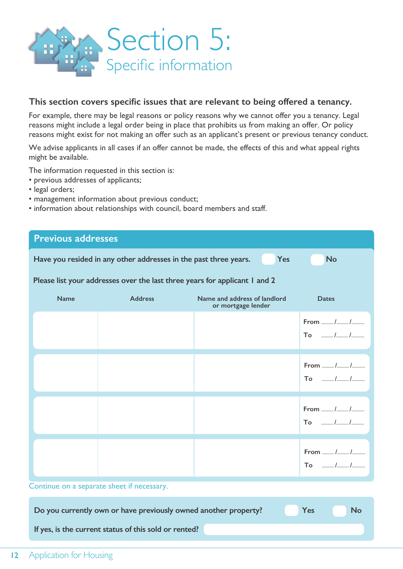

# **This section covers specific issues that are relevant to being offered a tenancy.**

For example, there may be legal reasons or policy reasons why we cannot offer you a tenancy. Legal reasons might include a legal order being in place that prohibits us from making an offer. Or policy reasons might exist for not making an offer such as an applicant's present or previous tenancy conduct.

We advise applicants in all cases if an offer cannot be made, the effects of this and what appeal rights might be available.

The information requested in this section is:

- previous addresses of applicants;
- legal orders;
- management information about previous conduct;
- information about relationships with council, board members and staff.

| <b>Previous addresses</b>                                                           |                                                                                             |                                                    |                                                                                                                                   |  |  |
|-------------------------------------------------------------------------------------|---------------------------------------------------------------------------------------------|----------------------------------------------------|-----------------------------------------------------------------------------------------------------------------------------------|--|--|
|                                                                                     | Have you resided in any other addresses in the past three years.<br><b>Yes</b><br><b>No</b> |                                                    |                                                                                                                                   |  |  |
|                                                                                     | Please list your addresses over the last three years for applicant I and 2                  |                                                    |                                                                                                                                   |  |  |
| <b>Name</b>                                                                         | <b>Address</b>                                                                              | Name and address of landlord<br>or mortgage lender | <b>Dates</b>                                                                                                                      |  |  |
|                                                                                     |                                                                                             |                                                    | From  / /                                                                                                                         |  |  |
|                                                                                     |                                                                                             |                                                    | From  / /                                                                                                                         |  |  |
|                                                                                     |                                                                                             |                                                    | From  / /                                                                                                                         |  |  |
|                                                                                     |                                                                                             |                                                    | $\begin{array}{ccc}\n\text{To} & \text{if } x_1, x_2, \ldots, x_n, \\ \text{if } x_1, x_2, \ldots, x_n, \ldots, x_n\n\end{array}$ |  |  |
| Continue on a separate sheet if necessary.                                          |                                                                                             |                                                    |                                                                                                                                   |  |  |
| Do you currently own or have previously owned another property?<br>Yes<br><b>No</b> |                                                                                             |                                                    |                                                                                                                                   |  |  |
| If yes, is the current status of this sold or rented?                               |                                                                                             |                                                    |                                                                                                                                   |  |  |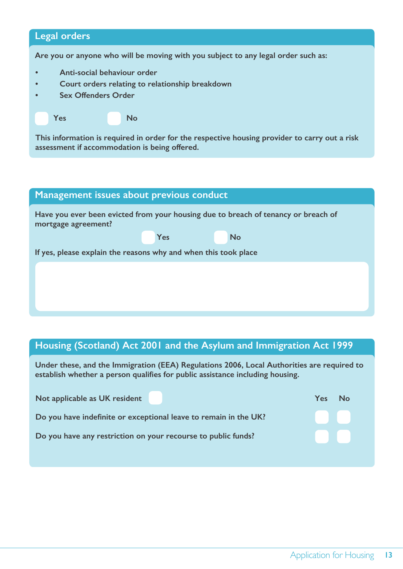# **Legal orders**

**Are you or anyone who will be moving with you subject to any legal order such as:** 

- **• Anti-social behaviour order**
- **• Court orders relating to relationship breakdown**
- **• Sex Offenders Order**



**This information is required in order for the respective housing provider to carry out a risk assessment if accommodation is being offered.**

| Management issues about previous conduct                                                                  |     |           |  |  |
|-----------------------------------------------------------------------------------------------------------|-----|-----------|--|--|
| Have you ever been evicted from your housing due to breach of tenancy or breach of<br>mortgage agreement? |     |           |  |  |
|                                                                                                           | Yes | <b>No</b> |  |  |
| If yes, please explain the reasons why and when this took place                                           |     |           |  |  |
|                                                                                                           |     |           |  |  |
|                                                                                                           |     |           |  |  |
|                                                                                                           |     |           |  |  |
|                                                                                                           |     |           |  |  |

# **Housing (Scotland) Act 2001 and the Asylum and Immigration Act 1999**

**Under these, and the Immigration (EEA) Regulations 2006, Local Authorities are required to establish whether a person qualifies for public assistance including housing.**

| Not applicable as UK resident                                    | Yes: | No |
|------------------------------------------------------------------|------|----|
| Do you have indefinite or exceptional leave to remain in the UK? |      |    |
| Do you have any restriction on your recourse to public funds?    |      |    |
|                                                                  |      |    |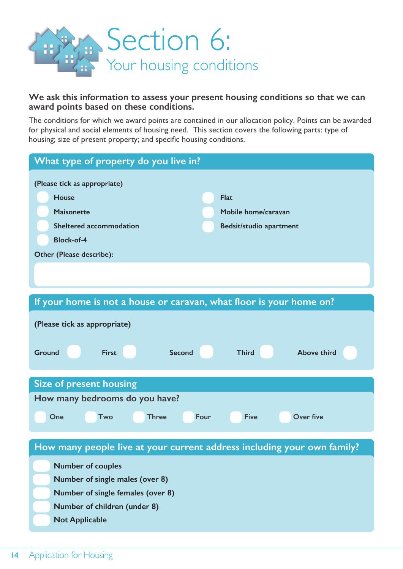

# **We ask this information to assess your present housing conditions so that we can award points based on these conditions.**

The conditions for which we award points are contained in our allocation policy. Points can be awarded for physical and social elements of housing need. This section covers the following parts: type of housing; size of present property; and specific housing conditions.

| What type of property do you live in? |                         |  |  |
|---------------------------------------|-------------------------|--|--|
| (Please tick as appropriate)          |                         |  |  |
| House                                 | <b>Flat</b>             |  |  |
| <b>Maisonette</b>                     | Mobile home/caravan     |  |  |
| <b>Sheltered accommodation</b>        | Bedsit/studio apartment |  |  |
| <b>Block-of-4</b>                     |                         |  |  |
| Other (Please describe):              |                         |  |  |
|                                       |                         |  |  |
|                                       |                         |  |  |

| If your home is not a house or caravan, what floor is your home on?    |  |  |  |  |
|------------------------------------------------------------------------|--|--|--|--|
| (Please tick as appropriate)                                           |  |  |  |  |
| <b>Above third</b><br><b>First</b><br>Second<br><b>Third</b><br>Ground |  |  |  |  |
| Size of present housing                                                |  |  |  |  |
| How many bedrooms do you have?                                         |  |  |  |  |
| <b>Five</b><br>One<br>Four<br><b>Over five</b><br><b>Three</b><br>Two  |  |  |  |  |

# **How many people live at your current address including your own family?**

**Number of couples Number of single males (over 8) Number of single females (over 8) Number of children (under 8) Not Applicable**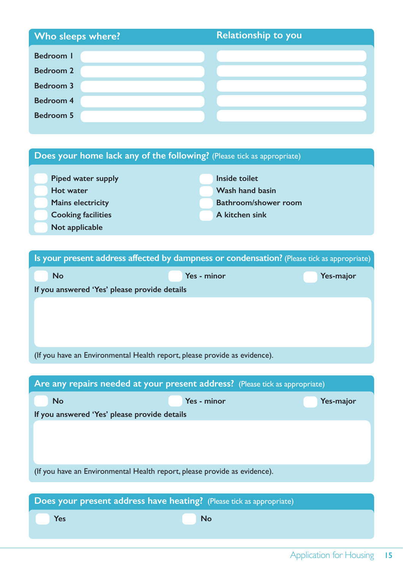| Who sleeps where? | <b>Relationship to you</b> |  |
|-------------------|----------------------------|--|
| Bedroom I         |                            |  |
| <b>Bedroom 2</b>  |                            |  |
| <b>Bedroom 3</b>  |                            |  |
| <b>Bedroom 4</b>  |                            |  |
| <b>Bedroom 5</b>  |                            |  |
|                   |                            |  |

# **Does your home lack any of the following?** (Please tick as appropriate)

| <b>Piped water supply</b> | Inside toilet          |
|---------------------------|------------------------|
| Hot water                 | <b>Wash hand basin</b> |
| <b>Mains electricity</b>  | Bathroom/shower room   |
| <b>Cooking facilities</b> | A kitchen sink         |
| Not applicable            |                        |

| Is your present address affected by dampness or condensation? (Please tick as appropriate) |             |           |  |
|--------------------------------------------------------------------------------------------|-------------|-----------|--|
| <b>No</b>                                                                                  | Yes - minor | Yes-major |  |
| If you answered 'Yes' please provide details                                               |             |           |  |
|                                                                                            |             |           |  |
|                                                                                            |             |           |  |
|                                                                                            |             |           |  |
|                                                                                            |             |           |  |
| (If you have an Environmental Health report, please provide as evidence).                  |             |           |  |
|                                                                                            |             |           |  |
| Are any repairs needed at your present address? (Please tick as appropriate)               |             |           |  |
| <b>No</b>                                                                                  | Yes - minor | Yes-major |  |
| If you answered 'Yes' please provide details                                               |             |           |  |
|                                                                                            |             |           |  |
|                                                                                            |             |           |  |

(If you have an Environmental Health report, please provide as evidence).

**Does your present address have heating?** (Please tick as appropriate)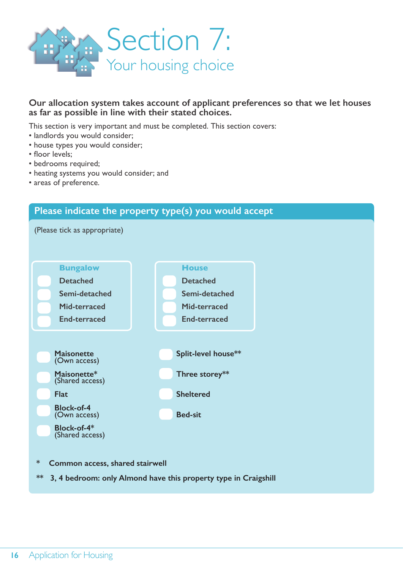

# **Our allocation system takes account of applicant preferences so that we let houses as far as possible in line with their stated choices.**

This section is very important and must be completed. This section covers:

- landlords you would consider;
- house types you would consider;
- floor levels;
- bedrooms required;
- heating systems you would consider; and
- areas of preference.

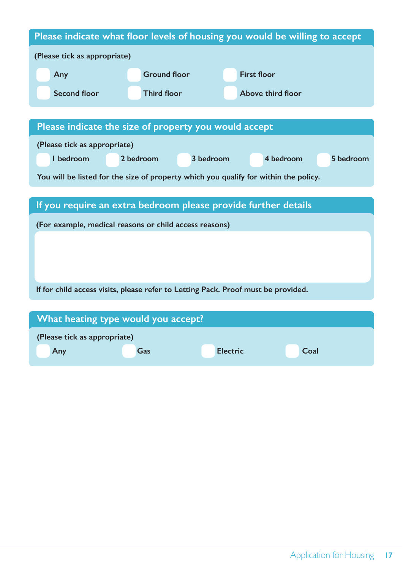| Please indicate what floor levels of housing you would be willing to accept       |                                                       |                                                                                      |  |  |  |
|-----------------------------------------------------------------------------------|-------------------------------------------------------|--------------------------------------------------------------------------------------|--|--|--|
| (Please tick as appropriate)                                                      |                                                       |                                                                                      |  |  |  |
| Any                                                                               | <b>Ground floor</b>                                   | <b>First floor</b>                                                                   |  |  |  |
| <b>Second floor</b>                                                               | <b>Third floor</b>                                    | <b>Above third floor</b>                                                             |  |  |  |
|                                                                                   |                                                       |                                                                                      |  |  |  |
|                                                                                   | Please indicate the size of property you would accept |                                                                                      |  |  |  |
| (Please tick as appropriate)                                                      |                                                       |                                                                                      |  |  |  |
| I bedroom                                                                         | 3 bedroom<br>2 bedroom                                | 4 bedroom<br>5 bedroom                                                               |  |  |  |
|                                                                                   |                                                       | You will be listed for the size of property which you qualify for within the policy. |  |  |  |
|                                                                                   |                                                       |                                                                                      |  |  |  |
| If you require an extra bedroom please provide further details                    |                                                       |                                                                                      |  |  |  |
| (For example, medical reasons or child access reasons)                            |                                                       |                                                                                      |  |  |  |
|                                                                                   |                                                       |                                                                                      |  |  |  |
|                                                                                   |                                                       |                                                                                      |  |  |  |
|                                                                                   |                                                       |                                                                                      |  |  |  |
| If for child access visits, please refer to Letting Pack. Proof must be provided. |                                                       |                                                                                      |  |  |  |
|                                                                                   |                                                       |                                                                                      |  |  |  |
| What heating type would you accept?                                               |                                                       |                                                                                      |  |  |  |
| (Please tick as appropriate)                                                      |                                                       |                                                                                      |  |  |  |
| Any                                                                               | Gas                                                   | <b>Electric</b><br>Coal                                                              |  |  |  |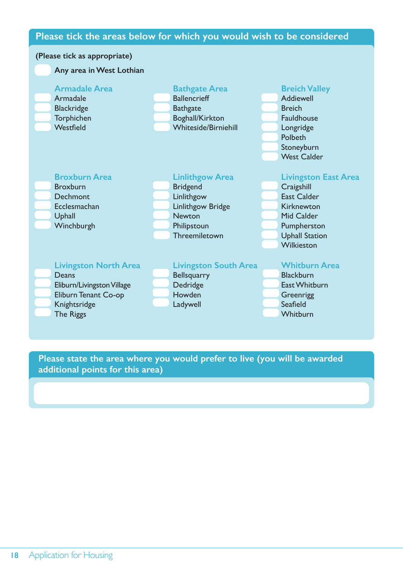# **Please tick the areas below for which you would wish to be considered**



**Please state the area where you would prefer to live (you will be awarded additional points for this area)**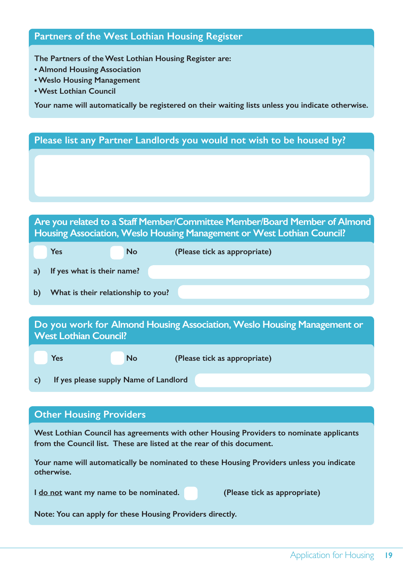# **Partners of the West Lothian Housing Register**

**The Partners of the West Lothian Housing Register are:**

- **Almond Housing Association**
- **Weslo Housing Management**
- **West Lothian Council**

**Your name will automatically be registered on their waiting lists unless you indicate otherwise.**

| Please list any Partner Landlords you would not wish to be housed by? |  |  |  |
|-----------------------------------------------------------------------|--|--|--|
|-----------------------------------------------------------------------|--|--|--|

# **Are you related to a Staff Member/Committee Member/Board Member of Almond Housing Association, Weslo Housing Management or West Lothian Council?**

|              | <b>Yes</b>                         | <b>No</b> | (Please tick as appropriate) |
|--------------|------------------------------------|-----------|------------------------------|
| a)           | If yes what is their name?         |           |                              |
| $\mathbf{b}$ | What is their relationship to you? |           |                              |

# **Do you work for Almond Housing Association, Weslo Housing Management or West Lothian Council?**

| <b>Yes</b> | <b>No</b> | (Please tick as appropriate) |
|------------|-----------|------------------------------|
|            |           |                              |

**c) If yes please supply Name of Landlord**

# **Other Housing Providers**

**West Lothian Council has agreements with other Housing Providers to nominate applicants from the Council list. These are listed at the rear of this document.**

**Your name will automatically be nominated to these Housing Providers unless you indicate otherwise.**

**I do not want my name to be nominated. (Please tick as appropriate)**

**Note: You can apply for these Housing Providers directly.**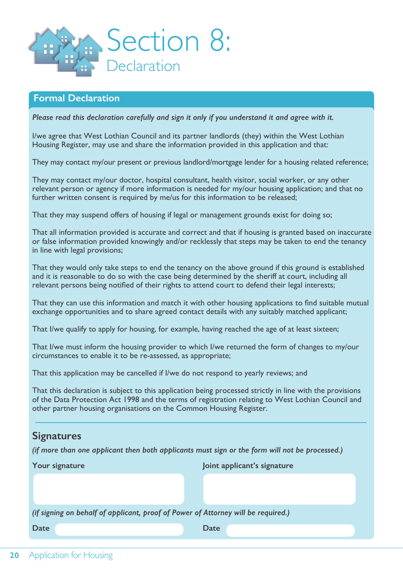

## **Formal Declaration**

*Please read this declaration carefully and sign it only if you understand it and agree with it.* 

I/we agree that West Lothian Council and its partner landlords (they) within the West Lothian Housing Register, may use and share the information provided in this application and that:

They may contact my/our present or previous landlord/mortgage lender for a housing related reference;

They may contact my/our doctor, hospital consultant, health visitor, social worker, or any other relevant person or agency if more information is needed for my/our housing application; and that no further written consent is required by me/us for this information to be released;

That they may suspend offers of housing if legal or management grounds exist for doing so;

That all information provided is accurate and correct and that if housing is granted based on inaccurate or false information provided knowingly and/or recklessly that steps may be taken to end the tenancy in line with legal provisions;

That they would only take steps to end the tenancy on the above ground if this ground is established and it is reasonable to do so with the case being determined by the sheriff at court, including all relevant persons being notified of their rights to attend court to defend their legal interests;

That they can use this information and match it with other housing applications to find suitable mutual exchange opportunities and to share agreed contact details with any suitably matched applicant;

That I/we qualify to apply for housing, for example, having reached the age of at least sixteen;

That I/we must inform the housing provider to which I/we returned the form of changes to my/our circumstances to enable it to be re-assessed, as appropriate;

That this application may be cancelled if I/we do not respond to yearly reviews; and

That this declaration is subject to this application being processed strictly in line with the provisions of the Data Protection Act 1998 and the terms of registration relating to West Lothian Council and other partner housing organisations on the Common Housing Register.

# **Signatures**

*(if more than one applicant then both applicants must sign or the form will not be processed.)*

**Your signature International Contract Contract Services** Joint applicant's signature

*(if signing on behalf of applicant, proof of Power of Attorney will be required.)*

**Date** Date **Date**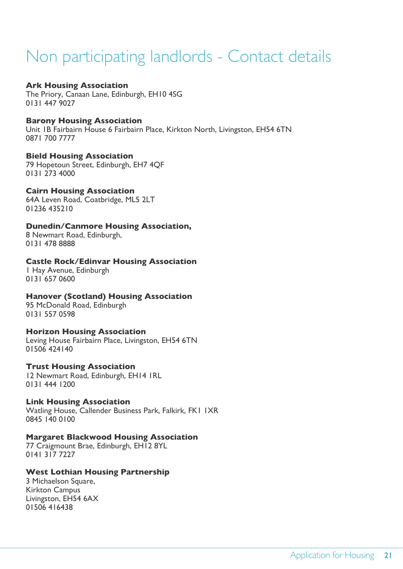# Non participating landlords - Contact details

#### **Ark Housing Association**

The Priory, Canaan Lane, Edinburgh, EH10 4SG 0131 447 9027

#### **Barony Housing Association**

Unit 1B Fairbairn House 6 Fairbairn Place, Kirkton North, Livingston, EH54 6TN 0871 700 7777

#### **Bield Housing Association** 79 Hopetoun Street, Edinburgh, EH7 4QF

0131 273 4000

#### **Cairn Housing Association**

64A Leven Road, Coatbridge, ML5 2LT 01236 435210

**Dunedin/Canmore Housing Association,**  8 Newmart Road, Edinburgh, 0131 478 8888

# **Castle Rock/Edinvar Housing Association**

1 Hay Avenue, Edinburgh 0131 657 0600

# **Hanover (Scotland) Housing Association**

95 McDonald Road, Edinburgh 0131 557 0598

#### **Horizon Housing Association**

Leving House Fairbairn Place, Livingston, EH54 6TN 01506 424140

#### **Trust Housing Association**

12 Newmart Road, Edinburgh, EH14 1RL 0131 444 1200

# **Link Housing Association**

Watling House, Callender Business Park, Falkirk, FK1 1XR 0845 140 0100

# **Margaret Blackwood Housing Association**

77 Craigmount Brae, Edinburgh, EH12 8YL 0141 317 7227

# **West Lothian Housing Partnership**

3 Michaelson Square, Kirkton Campus Livingston, EH54 6AX 01506 416438